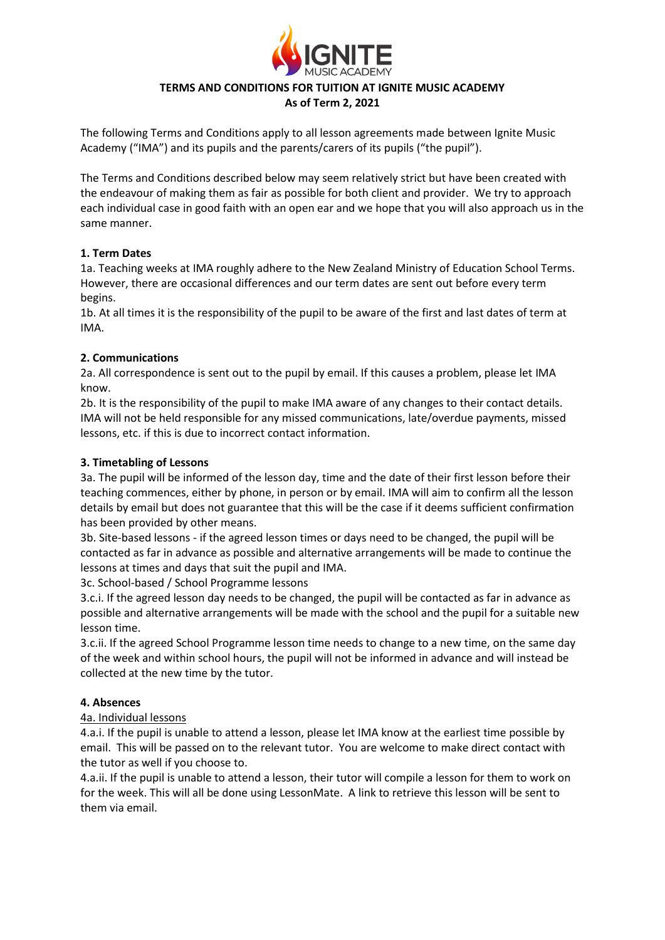

# **TERMS AND CONDITIONS FOR TUITION AT IGNITE MUSIC ACADEMY**

**As of Term 2, 2021**

The following Terms and Conditions apply to all lesson agreements made between Ignite Music Academy ("IMA") and its pupils and the parents/carers of its pupils ("the pupil").

The Terms and Conditions described below may seem relatively strict but have been created with the endeavour of making them as fair as possible for both client and provider. We try to approach each individual case in good faith with an open ear and we hope that you will also approach us in the same manner.

#### **1. Term Dates**

1a. Teaching weeks at IMA roughly adhere to the New Zealand Ministry of Education School Terms. However, there are occasional differences and our term dates are sent out before every term begins.

1b. At all times it is the responsibility of the pupil to be aware of the first and last dates of term at IMA.

#### **2. Communications**

2a. All correspondence is sent out to the pupil by email. If this causes a problem, please let IMA know.

2b. It is the responsibility of the pupil to make IMA aware of any changes to their contact details. IMA will not be held responsible for any missed communications, late/overdue payments, missed lessons, etc. if this is due to incorrect contact information.

#### **3. Timetabling of Lessons**

3a. The pupil will be informed of the lesson day, time and the date of their first lesson before their teaching commences, either by phone, in person or by email. IMA will aim to confirm all the lesson details by email but does not guarantee that this will be the case if it deems sufficient confirmation has been provided by other means.

3b. Site-based lessons - if the agreed lesson times or days need to be changed, the pupil will be contacted as far in advance as possible and alternative arrangements will be made to continue the lessons at times and days that suit the pupil and IMA.

3c. School-based / School Programme lessons

3.c.i. If the agreed lesson day needs to be changed, the pupil will be contacted as far in advance as possible and alternative arrangements will be made with the school and the pupil for a suitable new lesson time.

3.c.ii. If the agreed School Programme lesson time needs to change to a new time, on the same day of the week and within school hours, the pupil will not be informed in advance and will instead be collected at the new time by the tutor.

### **4. Absences**

#### 4a. Individual lessons

4.a.i. If the pupil is unable to attend a lesson, please let IMA know at the earliest time possible by email. This will be passed on to the relevant tutor. You are welcome to make direct contact with the tutor as well if you choose to.

4.a.ii. If the pupil is unable to attend a lesson, their tutor will compile a lesson for them to work on for the week. This will all be done using LessonMate. A link to retrieve this lesson will be sent to them via email.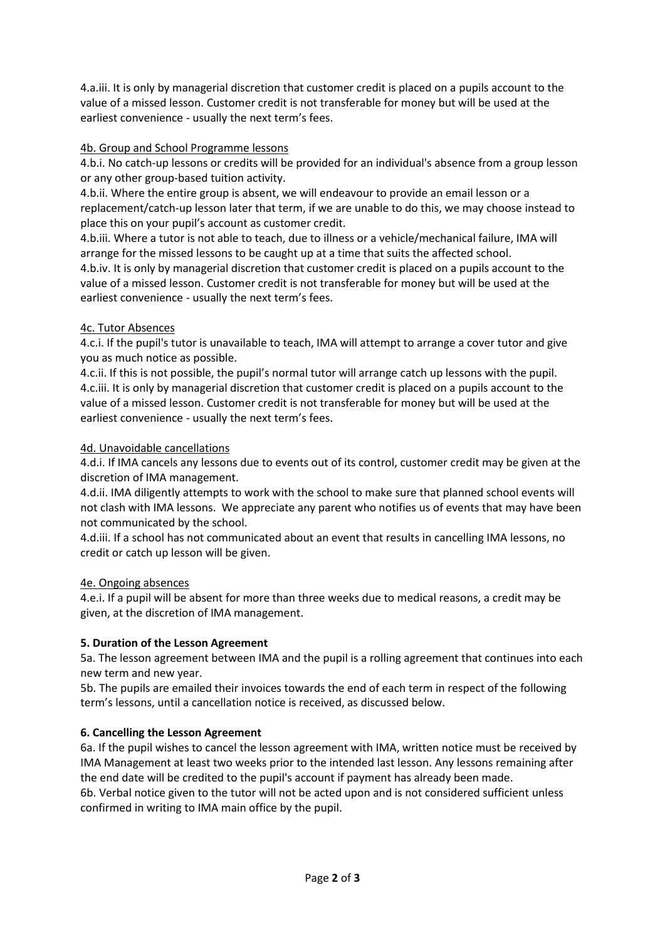4.a.iii. It is only by managerial discretion that customer credit is placed on a pupils account to the value of a missed lesson. Customer credit is not transferable for money but will be used at the earliest convenience - usually the next term's fees.

### 4b. Group and School Programme lessons

4.b.i. No catch-up lessons or credits will be provided for an individual's absence from a group lesson or any other group-based tuition activity.

4.b.ii. Where the entire group is absent, we will endeavour to provide an email lesson or a replacement/catch-up lesson later that term, if we are unable to do this, we may choose instead to place this on your pupil's account as customer credit.

4.b.iii. Where a tutor is not able to teach, due to illness or a vehicle/mechanical failure, IMA will arrange for the missed lessons to be caught up at a time that suits the affected school.

4.b.iv. It is only by managerial discretion that customer credit is placed on a pupils account to the value of a missed lesson. Customer credit is not transferable for money but will be used at the earliest convenience - usually the next term's fees.

### 4c. Tutor Absences

4.c.i. If the pupil's tutor is unavailable to teach, IMA will attempt to arrange a cover tutor and give you as much notice as possible.

4.c.ii. If this is not possible, the pupil's normal tutor will arrange catch up lessons with the pupil. 4.c.iii. It is only by managerial discretion that customer credit is placed on a pupils account to the value of a missed lesson. Customer credit is not transferable for money but will be used at the earliest convenience - usually the next term's fees.

### 4d. Unavoidable cancellations

4.d.i. If IMA cancels any lessons due to events out of its control, customer credit may be given at the discretion of IMA management.

4.d.ii. IMA diligently attempts to work with the school to make sure that planned school events will not clash with IMA lessons. We appreciate any parent who notifies us of events that may have been not communicated by the school.

4.d.iii. If a school has not communicated about an event that results in cancelling IMA lessons, no credit or catch up lesson will be given.

### 4e. Ongoing absences

4.e.i. If a pupil will be absent for more than three weeks due to medical reasons, a credit may be given, at the discretion of IMA management.

# **5. Duration of the Lesson Agreement**

5a. The lesson agreement between IMA and the pupil is a rolling agreement that continues into each new term and new year.

5b. The pupils are emailed their invoices towards the end of each term in respect of the following term's lessons, until a cancellation notice is received, as discussed below.

# **6. Cancelling the Lesson Agreement**

6a. If the pupil wishes to cancel the lesson agreement with IMA, written notice must be received by IMA Management at least two weeks prior to the intended last lesson. Any lessons remaining after the end date will be credited to the pupil's account if payment has already been made.

6b. Verbal notice given to the tutor will not be acted upon and is not considered sufficient unless confirmed in writing to IMA main office by the pupil.